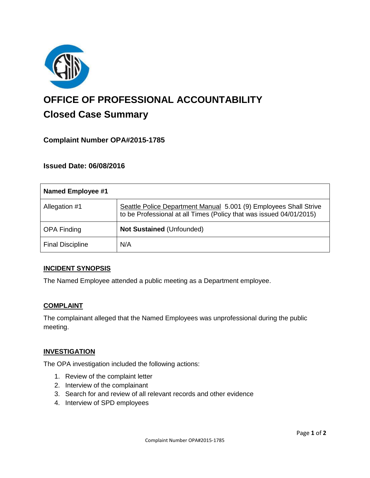

# **OFFICE OF PROFESSIONAL ACCOUNTABILITY Closed Case Summary**

## **Complaint Number OPA#2015-1785**

### **Issued Date: 06/08/2016**

| <b>Named Employee #1</b> |                                                                                                                                          |
|--------------------------|------------------------------------------------------------------------------------------------------------------------------------------|
| Allegation #1            | Seattle Police Department Manual 5.001 (9) Employees Shall Strive<br>to be Professional at all Times (Policy that was issued 04/01/2015) |
| <b>OPA Finding</b>       | Not Sustained (Unfounded)                                                                                                                |
| <b>Final Discipline</b>  | N/A                                                                                                                                      |

#### **INCIDENT SYNOPSIS**

The Named Employee attended a public meeting as a Department employee.

#### **COMPLAINT**

The complainant alleged that the Named Employees was unprofessional during the public meeting.

#### **INVESTIGATION**

The OPA investigation included the following actions:

- 1. Review of the complaint letter
- 2. Interview of the complainant
- 3. Search for and review of all relevant records and other evidence
- 4. Interview of SPD employees